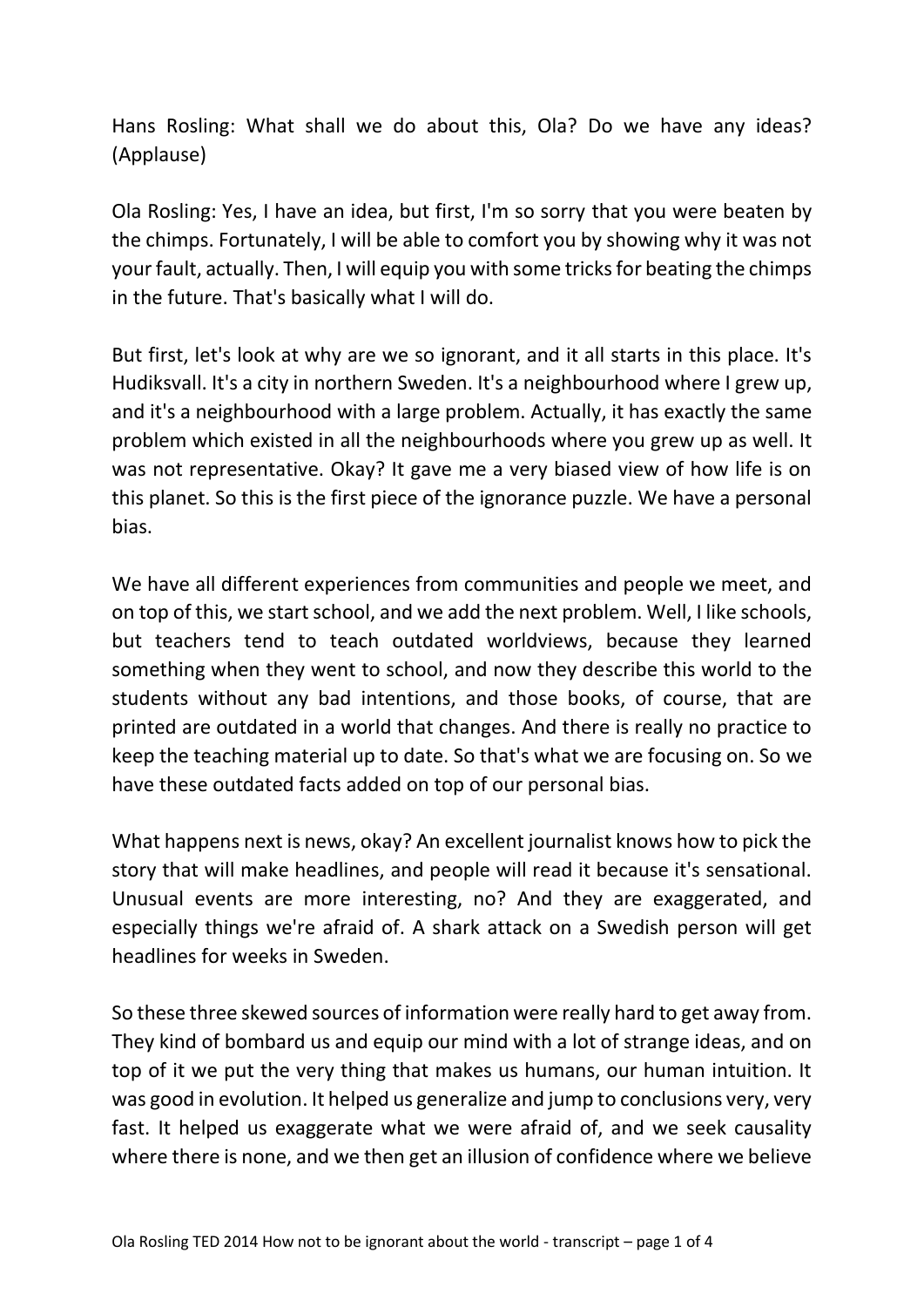Hans Rosling: What shall we do about this, Ola? Do we have any ideas? (Applause)

Ola Rosling: Yes, I have an idea, but first, I'm so sorry that you were beaten by the chimps. Fortunately, I will be able to comfort you by showing why it was not your fault, actually. Then, I will equip you with some tricks for beating the chimps in the future. That's basically what I will do.

But first, let's look at why are we so ignorant, and it all starts in this place. It's Hudiksvall. It's a city in northern Sweden. It's a neighbourhood where I grew up, and it's a neighbourhood with a large problem. Actually, it has exactly the same problem which existed in all the neighbourhoods where you grew up as well. It was not representative. Okay? It gave me a very biased view of how life is on this planet. So this is the first piece of the ignorance puzzle. We have a personal bias.

We have all different experiences from communities and people we meet, and on top of this, we start school, and we add the next problem. Well, I like schools, but teachers tend to teach outdated worldviews, because they learned something when they went to school, and now they describe this world to the students without any bad intentions, and those books, of course, that are printed are outdated in a world that changes. And there is really no practice to keep the teaching material up to date. So that's what we are focusing on. So we have these outdated facts added on top of our personal bias.

What happens next is news, okay? An excellent journalist knows how to pick the story that will make headlines, and people will read it because it's sensational. Unusual events are more interesting, no? And they are exaggerated, and especially things we're afraid of. A shark attack on a Swedish person will get headlines for weeks in Sweden.

So these three skewed sources of information were really hard to get away from. They kind of bombard us and equip our mind with a lot of strange ideas, and on top of it we put the very thing that makes us humans, our human intuition. It was good in evolution. It helped us generalize and jump to conclusions very, very fast. It helped us exaggerate what we were afraid of, and we seek causality where there is none, and we then get an illusion of confidence where we believe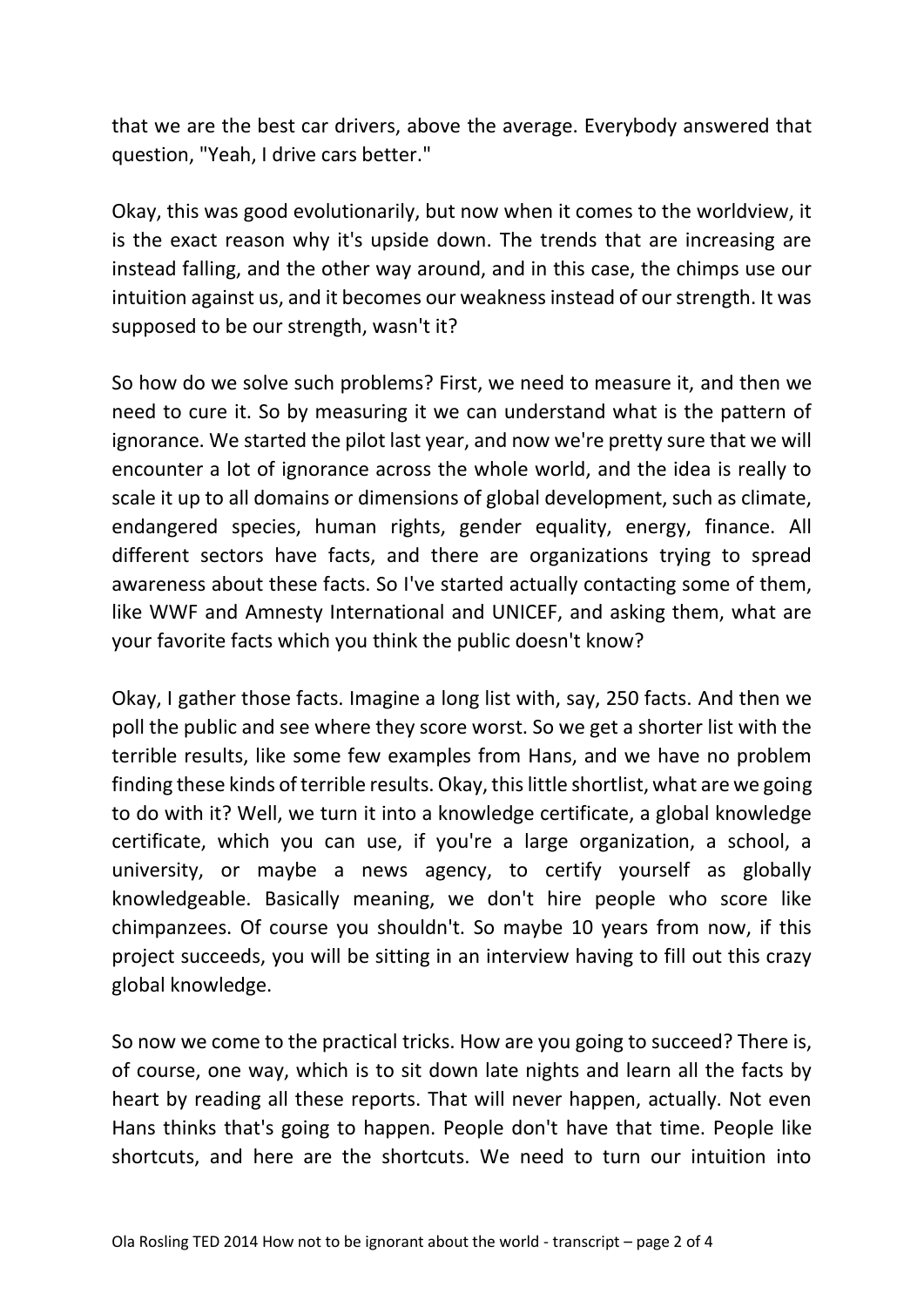that we are the best car drivers, above the average. Everybody answered that question, "Yeah, I drive cars better."

Okay, this was good evolutionarily, but now when it comes to the worldview, it is the exact reason why it's upside down. The trends that are increasing are instead falling, and the other way around, and in this case, the chimps use our intuition against us, and it becomes our weakness instead of our strength. It was supposed to be our strength, wasn't it?

So how do we solve such problems? First, we need to measure it, and then we need to cure it. So by measuring it we can understand what is the pattern of ignorance. We started the pilot last year, and now we're pretty sure that we will encounter a lot of ignorance across the whole world, and the idea is really to scale it up to all domains or dimensions of global development, such as climate, endangered species, human rights, gender equality, energy, finance. All different sectors have facts, and there are organizations trying to spread awareness about these facts. So I've started actually contacting some of them, like WWF and Amnesty International and UNICEF, and asking them, what are your favorite facts which you think the public doesn't know?

Okay, I gather those facts. Imagine a long list with, say, 250 facts. And then we poll the public and see where they score worst. So we get a shorter list with the terrible results, like some few examples from Hans, and we have no problem finding these kinds of terrible results. Okay, this little shortlist, what are we going to do with it? Well, we turn it into a knowledge certificate, a global knowledge certificate, which you can use, if you're a large organization, a school, a university, or maybe a news agency, to certify yourself as globally knowledgeable. Basically meaning, we don't hire people who score like chimpanzees. Of course you shouldn't. So maybe 10 years from now, if this project succeeds, you will be sitting in an interview having to fill out this crazy global knowledge.

So now we come to the practical tricks. How are you going to succeed? There is, of course, one way, which is to sit down late nights and learn all the facts by heart by reading all these reports. That will never happen, actually. Not even Hans thinks that's going to happen. People don't have that time. People like shortcuts, and here are the shortcuts. We need to turn our intuition into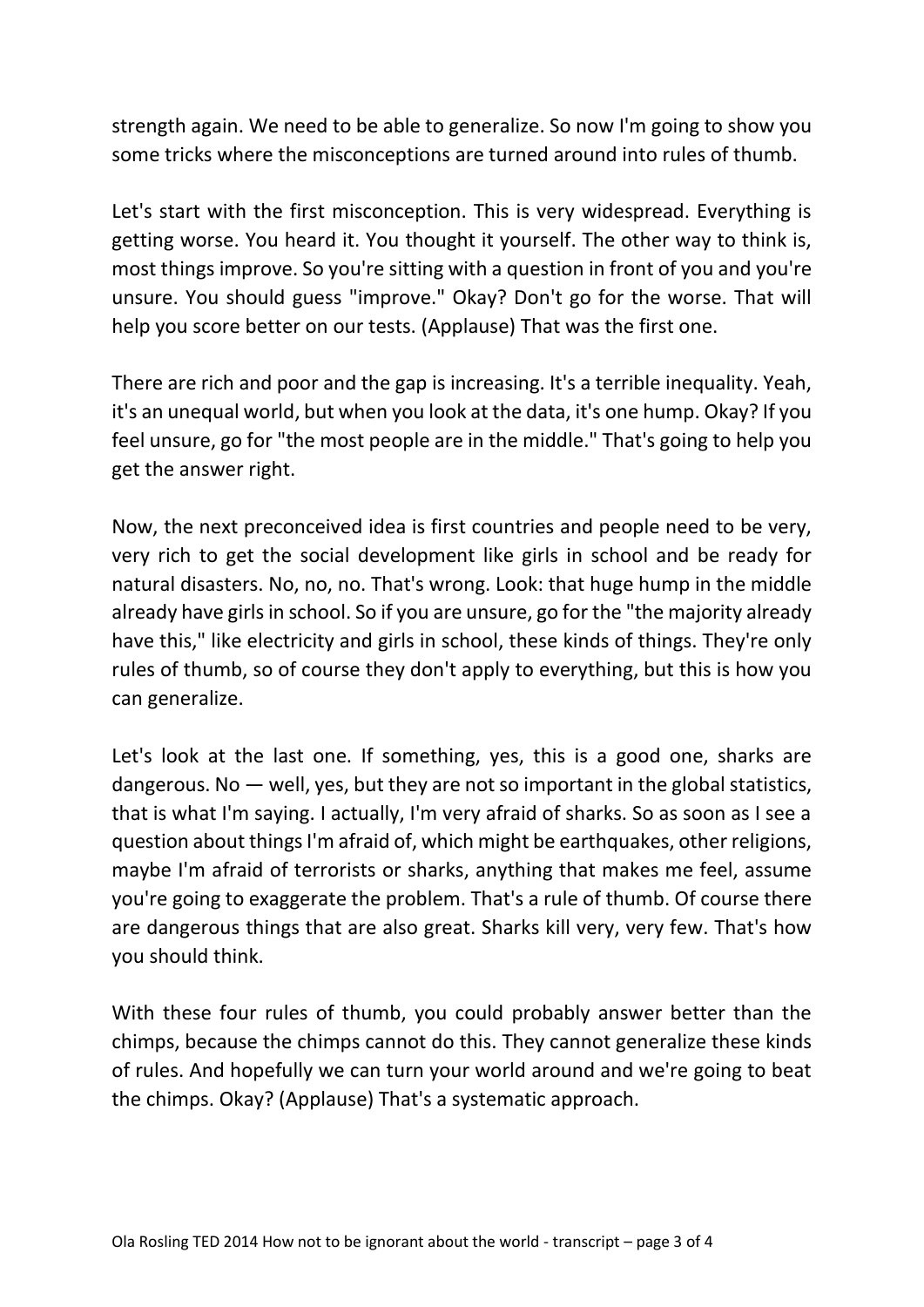strength again. We need to be able to generalize. So now I'm going to show you some tricks where the misconceptions are turned around into rules of thumb.

Let's start with the first misconception. This is very widespread. Everything is getting worse. You heard it. You thought it yourself. The other way to think is, most things improve. So you're sitting with a question in front of you and you're unsure. You should guess "improve." Okay? Don't go for the worse. That will help you score better on our tests. (Applause) That was the first one.

There are rich and poor and the gap is increasing. It's a terrible inequality. Yeah, it's an unequal world, but when you look at the data, it's one hump. Okay? If you feel unsure, go for "the most people are in the middle." That's going to help you get the answer right.

Now, the next preconceived idea is first countries and people need to be very, very rich to get the social development like girls in school and be ready for natural disasters. No, no, no. That's wrong. Look: that huge hump in the middle already have girls in school. So if you are unsure, go for the "the majority already have this," like electricity and girls in school, these kinds of things. They're only rules of thumb, so of course they don't apply to everything, but this is how you can generalize.

Let's look at the last one. If something, yes, this is a good one, sharks are dangerous. No  $-$  well, yes, but they are not so important in the global statistics, that is what I'm saying. I actually, I'm very afraid of sharks. So as soon as I see a question about things I'm afraid of, which might be earthquakes, other religions, maybe I'm afraid of terrorists or sharks, anything that makes me feel, assume you're going to exaggerate the problem. That's a rule of thumb. Of course there are dangerous things that are also great. Sharks kill very, very few. That's how you should think.

With these four rules of thumb, you could probably answer better than the chimps, because the chimps cannot do this. They cannot generalize these kinds of rules. And hopefully we can turn your world around and we're going to beat the chimps. Okay? (Applause) That's a systematic approach.